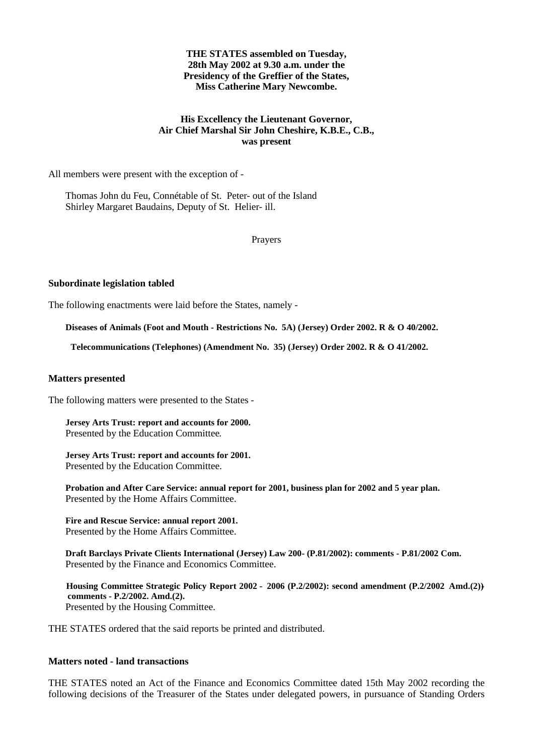### **THE STATES assembled on Tuesday, 28th May 2002 at 9.30 a.m. under the Presidency of the Greffier of the States, Miss Catherine Mary Newcombe.**

### **His Excellency the Lieutenant Governor, Air Chief Marshal Sir John Cheshire, K.B.E., C.B., was present**

All members were present with the exception of -

Thomas John du Feu, Connétable of St. Peter- out of the Island Shirley Margaret Baudains, Deputy of St. Helier- ill.

Prayers

#### **Subordinate legislation tabled**

The following enactments were laid before the States, namely -

**Diseases of Animals (Foot and Mouth - Restrictions No. 5A) (Jersey) Order 2002. R & O 40/2002.**

 **Telecommunications (Telephones) (Amendment No. 35) (Jersey) Order 2002. R & O 41/2002.**

#### **Matters presented**

The following matters were presented to the States -

 **Jersey Arts Trust: report and accounts for 2000.** Presented by the Education Committee*.*

**Jersey Arts Trust: report and accounts for 2001.** Presented by the Education Committee.

 **Probation and After Care Service: annual report for 2001, business plan for 2002 and 5 year plan.** Presented by the Home Affairs Committee.

 **Fire and Rescue Service: annual report 2001.** Presented by the Home Affairs Committee.

 **Draft Barclays Private Clients International (Jersey) Law 200- (P.81/2002): comments - P.81/2002 Com.** Presented by the Finance and Economics Committee.

 **Housing Committee Strategic Policy Report 2002 - 2006 (P.2/2002): second amendment (P.2/2002 Amd.(2)) comments - P.2/2002. Amd.(2).** Presented by the Housing Committee.

THE STATES ordered that the said reports be printed and distributed.

#### **Matters noted - land transactions**

THE STATES noted an Act of the Finance and Economics Committee dated 15th May 2002 recording the following decisions of the Treasurer of the States under delegated powers, in pursuance of Standing Orders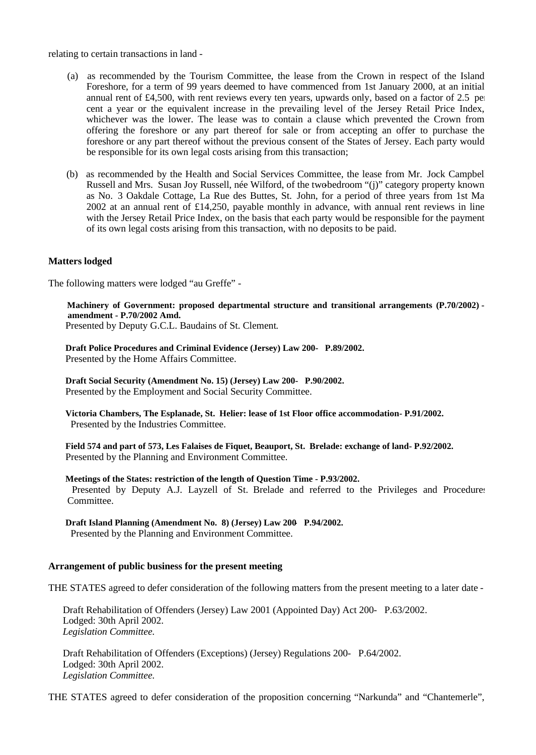relating to certain transactions in land -

- (a) as recommended by the Tourism Committee, the lease from the Crown in respect of the Island Foreshore, for a term of 99 years deemed to have commenced from 1st January 2000, at an initial annual rent of £4,500, with rent reviews every ten years, upwards only, based on a factor of 2.5 per cent a year or the equivalent increase in the prevailing level of the Jersey Retail Price Index, whichever was the lower. The lease was to contain a clause which prevented the Crown from offering the foreshore or any part thereof for sale or from accepting an offer to purchase the foreshore or any part thereof without the previous consent of the States of Jersey. Each party would be responsible for its own legal costs arising from this transaction;
- (b) as recommended by the Health and Social Services Committee, the lease from Mr. Jock Campbell Russell and Mrs. Susan Joy Russell, née Wilford, of the two-bedroom "(j)" category property known as No. 3 Oakdale Cottage, La Rue des Buttes, St. John, for a period of three years from 1st Ma 2002 at an annual rent of £14,250, payable monthly in advance, with annual rent reviews in line with the Jersey Retail Price Index, on the basis that each party would be responsible for the payment of its own legal costs arising from this transaction, with no deposits to be paid.

## **Matters lodged**

The following matters were lodged "au Greffe" -

 **Machinery of Government: proposed departmental structure and transitional arrangements (P.70/2002) amendment - P.70/2002 Amd.** Presented by Deputy G.C.L. Baudains of St. Clement.

 **Draft Police Procedures and Criminal Evidence (Jersey) Law 200- P.89/2002.** Presented by the Home Affairs Committee.

 **Draft Social Security (Amendment No. 15) (Jersey) Law 200- P.90/2002.** Presented by the Employment and Social Security Committee.

 **Victoria Chambers, The Esplanade, St. Helier: lease of 1st Floor office accommodation- P.91/2002.** Presented by the Industries Committee.

 **Field 574 and part of 573, Les Falaises de Fiquet, Beauport, St. Brelade: exchange of land- P.92/2002.** Presented by the Planning and Environment Committee.

#### **Meetings of the States: restriction of the length of Question Time - P.93/2002.**

Presented by Deputy A.J. Layzell of St. Brelade and referred to the Privileges and Procedures Committee.

 **Draft Island Planning (Amendment No. 8) (Jersey) Law 200- P.94/2002.** Presented by the Planning and Environment Committee.

#### **Arrangement of public business for the present meeting**

THE STATES agreed to defer consideration of the following matters from the present meeting to a later date -

Draft Rehabilitation of Offenders (Jersey) Law 2001 (Appointed Day) Act 200- P.63/2002. Lodged: 30th April 2002. *Legislation Committee.*

Draft Rehabilitation of Offenders (Exceptions) (Jersey) Regulations 200- P.64/2002. Lodged: 30th April 2002. *Legislation Committee.*

THE STATES agreed to defer consideration of the proposition concerning "Narkunda" and "Chantemerle",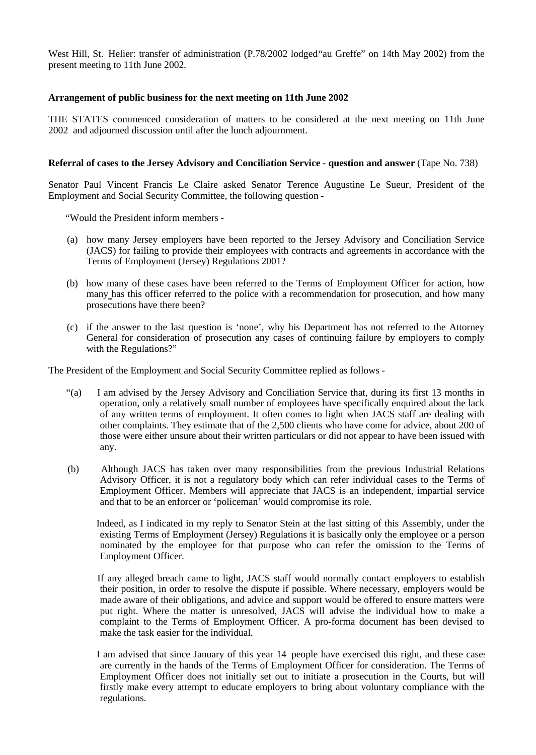West Hill, St. Helier: transfer of administration (P.78/2002 lodged"au Greffe" on 14th May 2002) from the present meeting to 11th June 2002.

## **Arrangement of public business for the next meeting on 11th June 2002**

THE STATES commenced consideration of matters to be considered at the next meeting on 11th June 2002 and adjourned discussion until after the lunch adjournment.

## **Referral of cases to the Jersey Advisory and Conciliation Service - question and answer** (Tape No. 738)

Senator Paul Vincent Francis Le Claire asked Senator Terence Augustine Le Sueur, President of the Employment and Social Security Committee, the following question -

"Would the President inform members -

- (a) how many Jersey employers have been reported to the Jersey Advisory and Conciliation Service (JACS) for failing to provide their employees with contracts and agreements in accordance with the Terms of Employment (Jersey) Regulations 2001?
- (b) how many of these cases have been referred to the Terms of Employment Officer for action, how many has this officer referred to the police with a recommendation for prosecution, and how many prosecutions have there been?
- (c) if the answer to the last question is 'none', why his Department has not referred to the Attorney General for consideration of prosecution any cases of continuing failure by employers to comply with the Regulations?"

The President of the Employment and Social Security Committee replied as follows -

- "(a) I am advised by the Jersey Advisory and Conciliation Service that, during its first 13 months in operation, only a relatively small number of employees have specifically enquired about the lack of any written terms of employment. It often comes to light when JACS staff are dealing with other complaints. They estimate that of the 2,500 clients who have come for advice, about 200 of those were either unsure about their written particulars or did not appear to have been issued with any.
- (b) Although JACS has taken over many responsibilities from the previous Industrial Relations Advisory Officer, it is not a regulatory body which can refer individual cases to the Terms of Employment Officer. Members will appreciate that JACS is an independent, impartial service and that to be an enforcer or 'policeman' would compromise its role.

 Indeed, as I indicated in my reply to Senator Stein at the last sitting of this Assembly, under the existing Terms of Employment (Jersey) Regulations it is basically only the employee or a person nominated by the employee for that purpose who can refer the omission to the Terms of Employment Officer.

 If any alleged breach came to light, JACS staff would normally contact employers to establish their position, in order to resolve the dispute if possible. Where necessary, employers would be made aware of their obligations, and advice and support would be offered to ensure matters were put right. Where the matter is unresolved, JACS will advise the individual how to make a complaint to the Terms of Employment Officer. A pro-forma document has been devised to make the task easier for the individual.

 I am advised that since January of this year 14 people have exercised this right, and these cases are currently in the hands of the Terms of Employment Officer for consideration. The Terms of Employment Officer does not initially set out to initiate a prosecution in the Courts, but will firstly make every attempt to educate employers to bring about voluntary compliance with the regulations.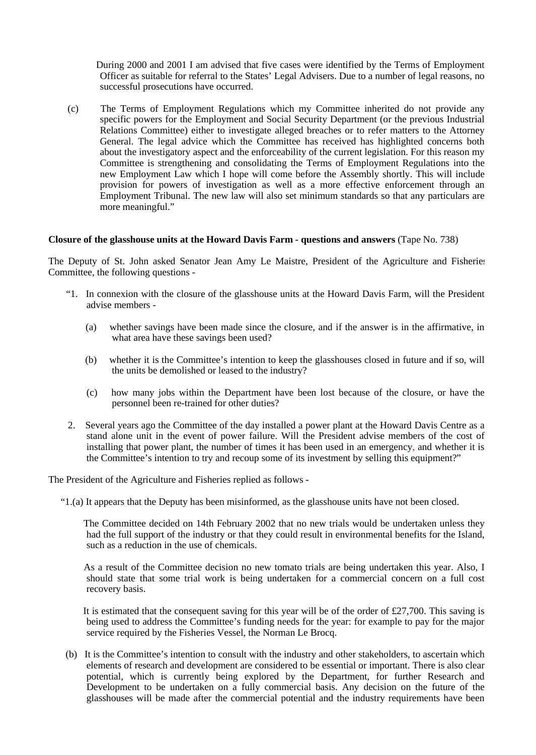During 2000 and 2001 I am advised that five cases were identified by the Terms of Employment Officer as suitable for referral to the States' Legal Advisers. Due to a number of legal reasons, no successful prosecutions have occurred.

 (c) The Terms of Employment Regulations which my Committee inherited do not provide any specific powers for the Employment and Social Security Department (or the previous Industrial Relations Committee) either to investigate alleged breaches or to refer matters to the Attorney General. The legal advice which the Committee has received has highlighted concerns both about the investigatory aspect and the enforceability of the current legislation. For this reason my Committee is strengthening and consolidating the Terms of Employment Regulations into the new Employment Law which I hope will come before the Assembly shortly. This will include provision for powers of investigation as well as a more effective enforcement through an Employment Tribunal. The new law will also set minimum standards so that any particulars are more meaningful."

### **Closure of the glasshouse units at the Howard Davis Farm - questions and answers** (Tape No. 738)

The Deputy of St. John asked Senator Jean Amy Le Maistre, President of the Agriculture and Fisheries Committee, the following questions -

- "1. In connexion with the closure of the glasshouse units at the Howard Davis Farm, will the President advise members -
	- (a) whether savings have been made since the closure, and if the answer is in the affirmative, in what area have these savings been used?
	- (b) whether it is the Committee's intention to keep the glasshouses closed in future and if so, will the units be demolished or leased to the industry?
	- (c) how many jobs within the Department have been lost because of the closure, or have the personnel been re-trained for other duties?
- 2. Several years ago the Committee of the day installed a power plant at the Howard Davis Centre as a stand alone unit in the event of power failure. Will the President advise members of the cost of installing that power plant, the number of times it has been used in an emergency, and whether it is the Committee's intention to try and recoup some of its investment by selling this equipment?"

The President of the Agriculture and Fisheries replied as follows **-**

"1.(a) It appears that the Deputy has been misinformed, as the glasshouse units have not been closed.

 The Committee decided on 14th February 2002 that no new trials would be undertaken unless they had the full support of the industry or that they could result in environmental benefits for the Island, such as a reduction in the use of chemicals.

 As a result of the Committee decision no new tomato trials are being undertaken this year. Also, I should state that some trial work is being undertaken for a commercial concern on a full cost recovery basis.

 It is estimated that the consequent saving for this year will be of the order of £27,700. This saving is being used to address the Committee's funding needs for the year: for example to pay for the major service required by the Fisheries Vessel, the Norman Le Brocq.

 (b) It is the Committee's intention to consult with the industry and other stakeholders, to ascertain which elements of research and development are considered to be essential or important. There is also clear potential, which is currently being explored by the Department, for further Research and Development to be undertaken on a fully commercial basis. Any decision on the future of the glasshouses will be made after the commercial potential and the industry requirements have been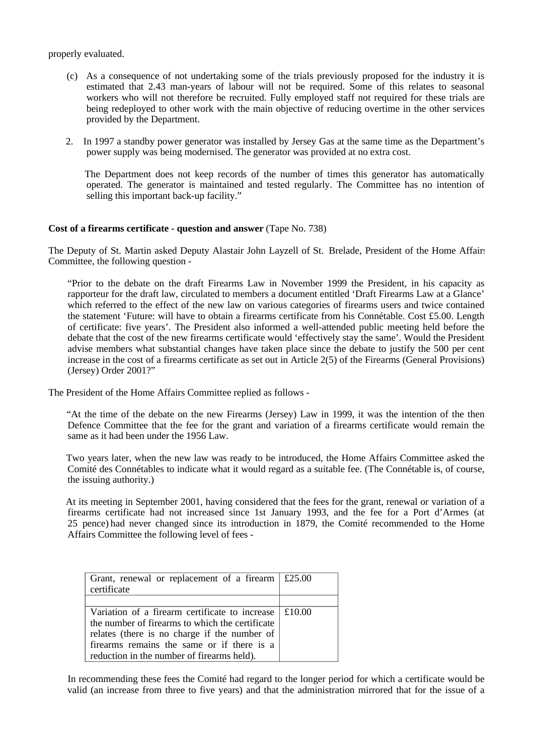properly evaluated.

- (c) As a consequence of not undertaking some of the trials previously proposed for the industry it is estimated that 2.43 man-years of labour will not be required. Some of this relates to seasonal workers who will not therefore be recruited. Fully employed staff not required for these trials are being redeployed to other work with the main objective of reducing overtime in the other services provided by the Department.
- 2. In 1997 a standby power generator was installed by Jersey Gas at the same time as the Department's power supply was being modernised. The generator was provided at no extra cost.

 The Department does not keep records of the number of times this generator has automatically operated. The generator is maintained and tested regularly. The Committee has no intention of selling this important back-up facility."

### **Cost of a firearms certificate - question and answer** (Tape No. 738)

The Deputy of St. Martin asked Deputy Alastair John Layzell of St. Brelade, President of the Home Affairs Committee, the following question -

 "Prior to the debate on the draft Firearms Law in November 1999 the President, in his capacity as rapporteur for the draft law, circulated to members a document entitled 'Draft Firearms Law at a Glance' which referred to the effect of the new law on various categories of firearms users and twice contained the statement 'Future: will have to obtain a firearms certificate from his Connétable. Cost £5.00. Length of certificate: five years'. The President also informed a well-attended public meeting held before the debate that the cost of the new firearms certificate would 'effectively stay the same'. Would the President advise members what substantial changes have taken place since the debate to justify the 500 per cent increase in the cost of a firearms certificate as set out in Article 2(5) of the Firearms (General Provisions) (Jersey) Order 2001?"

The President of the Home Affairs Committee replied as follows -

 "At the time of the debate on the new Firearms (Jersey) Law in 1999, it was the intention of the then Defence Committee that the fee for the grant and variation of a firearms certificate would remain the same as it had been under the 1956 Law.

 Two years later, when the new law was ready to be introduced, the Home Affairs Committee asked the Comité des Connétables to indicate what it would regard as a suitable fee. (The Connétable is, of course, the issuing authority.)

 At its meeting in September 2001, having considered that the fees for the grant, renewal or variation of a firearms certificate had not increased since 1st January 1993, and the fee for a Port d'Armes (at 25 pence) had never changed since its introduction in 1879, the Comité recommended to the Home Affairs Committee the following level of fees -

| Grant, renewal or replacement of a firearm $\vert$ £25.00<br>certificate |        |
|--------------------------------------------------------------------------|--------|
|                                                                          |        |
| Variation of a firearm certificate to increase                           | £10.00 |
| the number of firearms to which the certificate                          |        |
| relates (there is no charge if the number of                             |        |
| firearms remains the same or if there is a                               |        |
| reduction in the number of firearms held).                               |        |

 In recommending these fees the Comité had regard to the longer period for which a certificate would be valid (an increase from three to five years) and that the administration mirrored that for the issue of a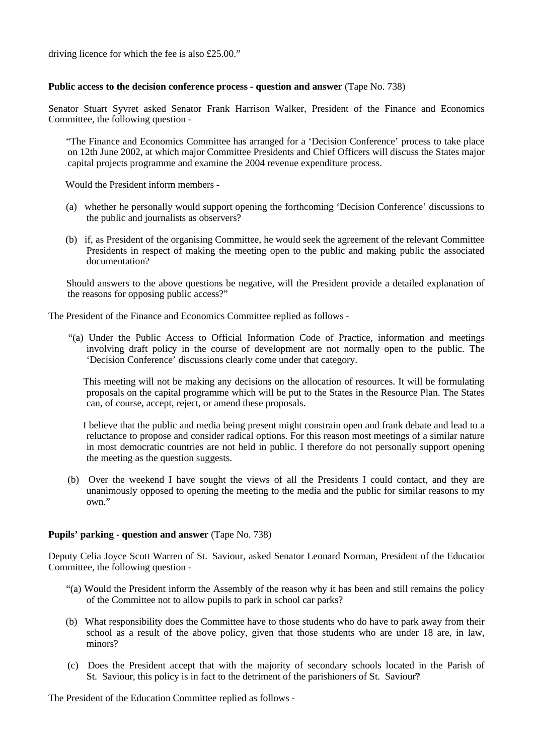driving licence for which the fee is also £25.00."

### **Public access to the decision conference process - question and answer** (Tape No. 738)

Senator Stuart Syvret asked Senator Frank Harrison Walker, President of the Finance and Economics Committee, the following question -

 "The Finance and Economics Committee has arranged for a 'Decision Conference' process to take place on 12th June 2002, at which major Committee Presidents and Chief Officers will discuss the States major capital projects programme and examine the 2004 revenue expenditure process.

Would the President inform members -

- (a) whether he personally would support opening the forthcoming 'Decision Conference' discussions to the public and journalists as observers?
- (b) if, as President of the organising Committee, he would seek the agreement of the relevant Committee Presidents in respect of making the meeting open to the public and making public the associated documentation?

 Should answers to the above questions be negative, will the President provide a detailed explanation of the reasons for opposing public access?"

The President of the Finance and Economics Committee replied as follows -

 "(a) Under the Public Access to Official Information Code of Practice, information and meetings involving draft policy in the course of development are not normally open to the public. The 'Decision Conference' discussions clearly come under that category.

 This meeting will not be making any decisions on the allocation of resources. It will be formulating proposals on the capital programme which will be put to the States in the Resource Plan. The States can, of course, accept, reject, or amend these proposals.

 I believe that the public and media being present might constrain open and frank debate and lead to a reluctance to propose and consider radical options. For this reason most meetings of a similar nature in most democratic countries are not held in public. I therefore do not personally support opening the meeting as the question suggests.

 (b) Over the weekend I have sought the views of all the Presidents I could contact, and they are unanimously opposed to opening the meeting to the media and the public for similar reasons to my own."

### **Pupils' parking - question and answer** (Tape No. 738)

Deputy Celia Joyce Scott Warren of St. Saviour, asked Senator Leonard Norman, President of the Education Committee, the following question -

- "(a) Would the President inform the Assembly of the reason why it has been and still remains the policy of the Committee not to allow pupils to park in school car parks?
- (b) What responsibility does the Committee have to those students who do have to park away from their school as a result of the above policy, given that those students who are under 18 are, in law, minors?
- (c) Does the President accept that with the majority of secondary schools located in the Parish of St. Saviour, this policy is in fact to the detriment of the parishioners of St. Saviour?

The President of the Education Committee replied as follows -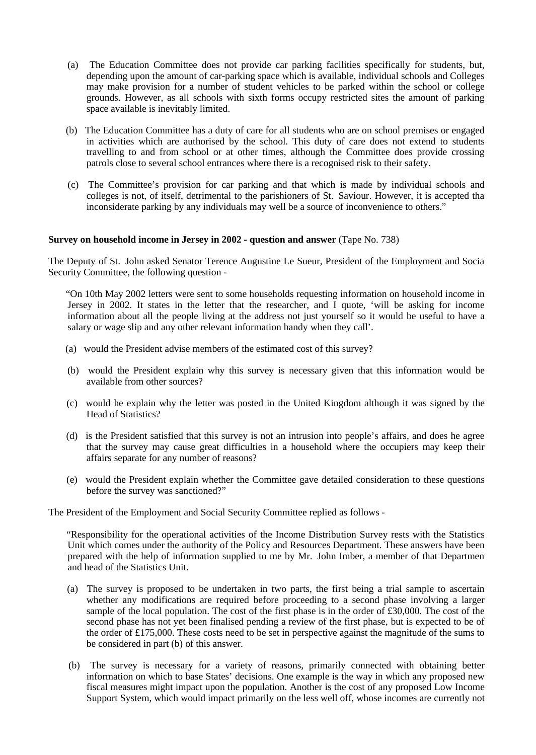- (a) The Education Committee does not provide car parking facilities specifically for students, but, depending upon the amount of car-parking space which is available, individual schools and Colleges may make provision for a number of student vehicles to be parked within the school or college grounds. However, as all schools with sixth forms occupy restricted sites the amount of parking space available is inevitably limited.
- (b) The Education Committee has a duty of care for all students who are on school premises or engaged in activities which are authorised by the school. This duty of care does not extend to students travelling to and from school or at other times, although the Committee does provide crossing patrols close to several school entrances where there is a recognised risk to their safety.
- (c) The Committee's provision for car parking and that which is made by individual schools and colleges is not, of itself, detrimental to the parishioners of St. Saviour. However, it is accepted that inconsiderate parking by any individuals may well be a source of inconvenience to others."

### **Survey on household income in Jersey in 2002 - question and answer** (Tape No. 738)

The Deputy of St. John asked Senator Terence Augustine Le Sueur, President of the Employment and Social Security Committee, the following question -

 "On 10th May 2002 letters were sent to some households requesting information on household income in Jersey in 2002. It states in the letter that the researcher, and I quote, 'will be asking for income information about all the people living at the address not just yourself so it would be useful to have a salary or wage slip and any other relevant information handy when they call'.

- (a) would the President advise members of the estimated cost of this survey?
- (b) would the President explain why this survey is necessary given that this information would be available from other sources?
- (c) would he explain why the letter was posted in the United Kingdom although it was signed by the Head of Statistics?
- (d) is the President satisfied that this survey is not an intrusion into people's affairs, and does he agree that the survey may cause great difficulties in a household where the occupiers may keep their affairs separate for any number of reasons?
- (e) would the President explain whether the Committee gave detailed consideration to these questions before the survey was sanctioned?"

The President of the Employment and Social Security Committee replied as follows -

 "Responsibility for the operational activities of the Income Distribution Survey rests with the Statistics Unit which comes under the authority of the Policy and Resources Department. These answers have been prepared with the help of information supplied to me by Mr. John Imber, a member of that Departmen and head of the Statistics Unit.

- (a) The survey is proposed to be undertaken in two parts, the first being a trial sample to ascertain whether any modifications are required before proceeding to a second phase involving a larger sample of the local population. The cost of the first phase is in the order of £30,000. The cost of the second phase has not yet been finalised pending a review of the first phase, but is expected to be of the order of £175,000. These costs need to be set in perspective against the magnitude of the sums to be considered in part (b) of this answer.
- (b) The survey is necessary for a variety of reasons, primarily connected with obtaining better information on which to base States' decisions. One example is the way in which any proposed new fiscal measures might impact upon the population. Another is the cost of any proposed Low Income Support System, which would impact primarily on the less well off, whose incomes are currently not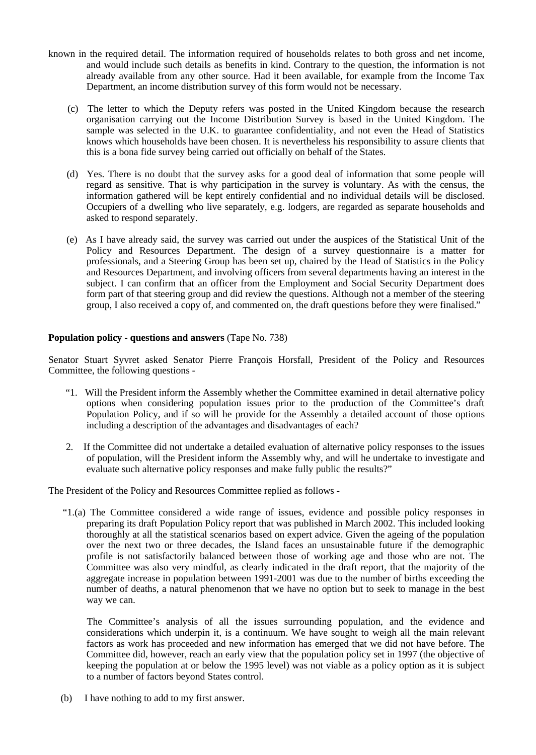- known in the required detail. The information required of households relates to both gross and net income, and would include such details as benefits in kind. Contrary to the question, the information is not already available from any other source. Had it been available, for example from the Income Tax Department, an income distribution survey of this form would not be necessary.
	- (c) The letter to which the Deputy refers was posted in the United Kingdom because the research organisation carrying out the Income Distribution Survey is based in the United Kingdom. The sample was selected in the U.K. to guarantee confidentiality, and not even the Head of Statistics knows which households have been chosen. It is nevertheless his responsibility to assure clients that this is a bona fide survey being carried out officially on behalf of the States.
	- (d) Yes. There is no doubt that the survey asks for a good deal of information that some people will regard as sensitive. That is why participation in the survey is voluntary. As with the census, the information gathered will be kept entirely confidential and no individual details will be disclosed. Occupiers of a dwelling who live separately, e.g. lodgers, are regarded as separate households and asked to respond separately.
	- (e) As I have already said, the survey was carried out under the auspices of the Statistical Unit of the Policy and Resources Department. The design of a survey questionnaire is a matter for professionals, and a Steering Group has been set up, chaired by the Head of Statistics in the Policy and Resources Department, and involving officers from several departments having an interest in the subject. I can confirm that an officer from the Employment and Social Security Department does form part of that steering group and did review the questions. Although not a member of the steering group, I also received a copy of, and commented on, the draft questions before they were finalised."

## **Population policy - questions and answers** (Tape No. 738)

Senator Stuart Syvret asked Senator Pierre François Horsfall, President of the Policy and Resources Committee, the following questions -

- "1. Will the President inform the Assembly whether the Committee examined in detail alternative policy options when considering population issues prior to the production of the Committee's draft Population Policy, and if so will he provide for the Assembly a detailed account of those options including a description of the advantages and disadvantages of each?
- 2. If the Committee did not undertake a detailed evaluation of alternative policy responses to the issues of population, will the President inform the Assembly why, and will he undertake to investigate and evaluate such alternative policy responses and make fully public the results?"

The President of the Policy and Resources Committee replied as follows -

 "1.(a) The Committee considered a wide range of issues, evidence and possible policy responses in preparing its draft Population Policy report that was published in March 2002. This included looking thoroughly at all the statistical scenarios based on expert advice. Given the ageing of the population over the next two or three decades, the Island faces an unsustainable future if the demographic profile is not satisfactorily balanced between those of working age and those who are not. The Committee was also very mindful, as clearly indicated in the draft report, that the majority of the aggregate increase in population between 1991-2001 was due to the number of births exceeding the number of deaths, a natural phenomenon that we have no option but to seek to manage in the best way we can.

 The Committee's analysis of all the issues surrounding population, and the evidence and considerations which underpin it, is a continuum. We have sought to weigh all the main relevant factors as work has proceeded and new information has emerged that we did not have before. The Committee did, however, reach an early view that the population policy set in 1997 (the objective of keeping the population at or below the 1995 level) was not viable as a policy option as it is subject to a number of factors beyond States control.

(b) I have nothing to add to my first answer.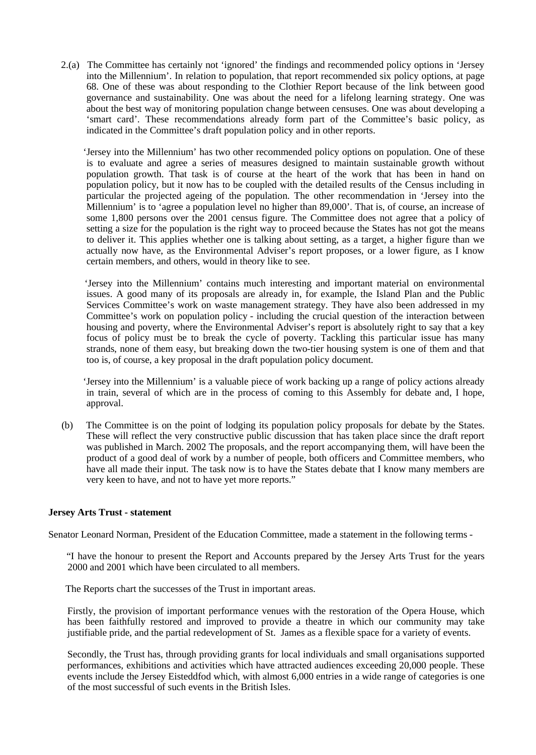2.(a) The Committee has certainly not 'ignored' the findings and recommended policy options in 'Jersey into the Millennium'. In relation to population, that report recommended six policy options, at page 68. One of these was about responding to the Clothier Report because of the link between good governance and sustainability. One was about the need for a lifelong learning strategy. One was about the best way of monitoring population change between censuses. One was about developing a 'smart card'. These recommendations already form part of the Committee's basic policy, as indicated in the Committee's draft population policy and in other reports.

 'Jersey into the Millennium' has two other recommended policy options on population. One of these is to evaluate and agree a series of measures designed to maintain sustainable growth without population growth. That task is of course at the heart of the work that has been in hand on population policy, but it now has to be coupled with the detailed results of the Census including in particular the projected ageing of the population. The other recommendation in 'Jersey into the Millennium' is to 'agree a population level no higher than 89,000'. That is, of course, an increase of some 1,800 persons over the 2001 census figure. The Committee does not agree that a policy of setting a size for the population is the right way to proceed because the States has not got the means to deliver it. This applies whether one is talking about setting, as a target, a higher figure than we actually now have, as the Environmental Adviser's report proposes, or a lower figure, as I know certain members, and others, would in theory like to see.

 'Jersey into the Millennium' contains much interesting and important material on environmental issues. A good many of its proposals are already in, for example, the Island Plan and the Public Services Committee's work on waste management strategy. They have also been addressed in my Committee's work on population policy - including the crucial question of the interaction between housing and poverty, where the Environmental Adviser's report is absolutely right to say that a key focus of policy must be to break the cycle of poverty. Tackling this particular issue has many strands, none of them easy, but breaking down the two-tier housing system is one of them and that too is, of course, a key proposal in the draft population policy document.

 'Jersey into the Millennium' is a valuable piece of work backing up a range of policy actions already in train, several of which are in the process of coming to this Assembly for debate and, I hope, approval.

 (b) The Committee is on the point of lodging its population policy proposals for debate by the States. These will reflect the very constructive public discussion that has taken place since the draft report was published in March. 2002 The proposals, and the report accompanying them, will have been the product of a good deal of work by a number of people, both officers and Committee members, who have all made their input. The task now is to have the States debate that I know many members are very keen to have, and not to have yet more reports."

## **Jersey Arts Trust - statement**

Senator Leonard Norman, President of the Education Committee, made a statement in the following terms -

 "I have the honour to present the Report and Accounts prepared by the Jersey Arts Trust for the years 2000 and 2001 which have been circulated to all members.

The Reports chart the successes of the Trust in important areas.

Firstly, the provision of important performance venues with the restoration of the Opera House, which has been faithfully restored and improved to provide a theatre in which our community may take justifiable pride, and the partial redevelopment of St. James as a flexible space for a variety of events.

Secondly, the Trust has, through providing grants for local individuals and small organisations supported performances, exhibitions and activities which have attracted audiences exceeding 20,000 people. These events include the Jersey Eisteddfod which, with almost 6,000 entries in a wide range of categories is one of the most successful of such events in the British Isles.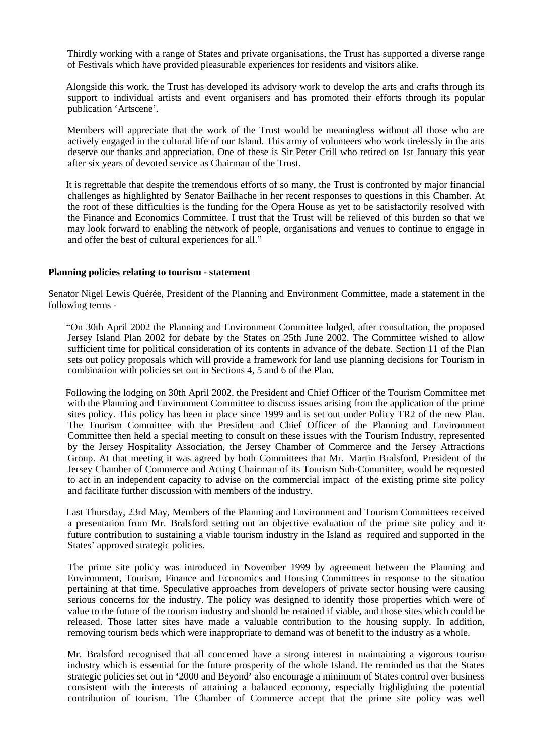Thirdly working with a range of States and private organisations, the Trust has supported a diverse range of Festivals which have provided pleasurable experiences for residents and visitors alike.

 Alongside this work, the Trust has developed its advisory work to develop the arts and crafts through its support to individual artists and event organisers and has promoted their efforts through its popular publication 'Artscene'.

 Members will appreciate that the work of the Trust would be meaningless without all those who are actively engaged in the cultural life of our Island. This army of volunteers who work tirelessly in the arts deserve our thanks and appreciation. One of these is Sir Peter Crill who retired on 1st January this year after six years of devoted service as Chairman of the Trust.

 It is regrettable that despite the tremendous efforts of so many, the Trust is confronted by major financial challenges as highlighted by Senator Bailhache in her recent responses to questions in this Chamber. At the root of these difficulties is the funding for the Opera House as yet to be satisfactorily resolved with the Finance and Economics Committee. I trust that the Trust will be relieved of this burden so that we may look forward to enabling the network of people, organisations and venues to continue to engage in and offer the best of cultural experiences for all."

#### **Planning policies relating to tourism - statement**

Senator Nigel Lewis Quérée, President of the Planning and Environment Committee, made a statement in the following terms -

 "On 30th April 2002 the Planning and Environment Committee lodged, after consultation, the proposed Jersey Island Plan 2002 for debate by the States on 25th June 2002. The Committee wished to allow sufficient time for political consideration of its contents in advance of the debate. Section 11 of the Plan sets out policy proposals which will provide a framework for land use planning decisions for Tourism in combination with policies set out in Sections 4, 5 and 6 of the Plan.

 Following the lodging on 30th April 2002, the President and Chief Officer of the Tourism Committee met with the Planning and Environment Committee to discuss issues arising from the application of the prime sites policy. This policy has been in place since 1999 and is set out under Policy TR2 of the new Plan. The Tourism Committee with the President and Chief Officer of the Planning and Environment Committee then held a special meeting to consult on these issues with the Tourism Industry, represented by the Jersey Hospitality Association, the Jersey Chamber of Commerce and the Jersey Attractions Group. At that meeting it was agreed by both Committees that Mr. Martin Bralsford, President of the Jersey Chamber of Commerce and Acting Chairman of its Tourism Sub-Committee, would be requested to act in an independent capacity to advise on the commercial impact of the existing prime site policy and facilitate further discussion with members of the industry.

 Last Thursday, 23rd May, Members of the Planning and Environment and Tourism Committees received a presentation from Mr. Bralsford setting out an objective evaluation of the prime site policy and its future contribution to sustaining a viable tourism industry in the Island as required and supported in the States' approved strategic policies.

 The prime site policy was introduced in November 1999 by agreement between the Planning and Environment, Tourism, Finance and Economics and Housing Committees in response to the situation pertaining at that time. Speculative approaches from developers of private sector housing were causing serious concerns for the industry. The policy was designed to identify those properties which were of value to the future of the tourism industry and should be retained if viable, and those sites which could be released. Those latter sites have made a valuable contribution to the housing supply. In addition, removing tourism beds which were inappropriate to demand was of benefit to the industry as a whole.

 Mr. Bralsford recognised that all concerned have a strong interest in maintaining a vigorous tourism industry which is essential for the future prosperity of the whole Island. He reminded us that the States strategic policies set out in **'**2000 and Beyond**'** also encourage a minimum of States control over business consistent with the interests of attaining a balanced economy, especially highlighting the potential contribution of tourism. The Chamber of Commerce accept that the prime site policy was well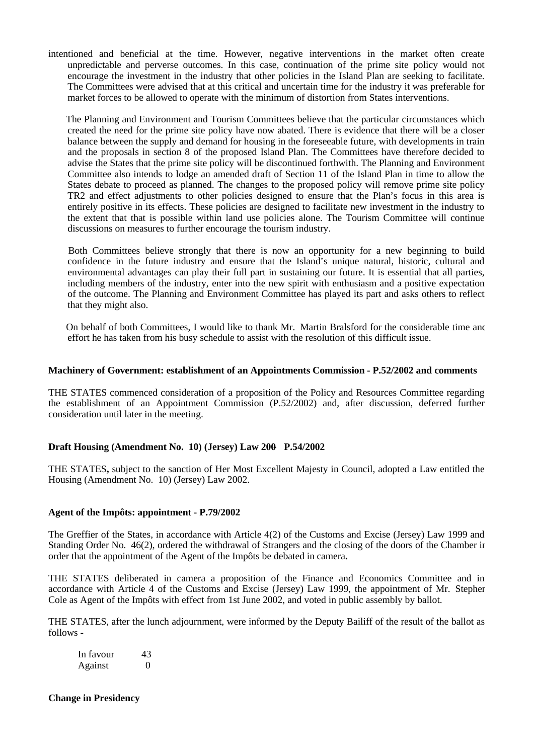intentioned and beneficial at the time. However, negative interventions in the market often create unpredictable and perverse outcomes. In this case, continuation of the prime site policy would not encourage the investment in the industry that other policies in the Island Plan are seeking to facilitate. The Committees were advised that at this critical and uncertain time for the industry it was preferable for market forces to be allowed to operate with the minimum of distortion from States interventions.

 The Planning and Environment and Tourism Committees believe that the particular circumstances which created the need for the prime site policy have now abated. There is evidence that there will be a closer balance between the supply and demand for housing in the foreseeable future, with developments in train and the proposals in section 8 of the proposed Island Plan. The Committees have therefore decided to advise the States that the prime site policy will be discontinued forthwith. The Planning and Environment Committee also intends to lodge an amended draft of Section 11 of the Island Plan in time to allow the States debate to proceed as planned. The changes to the proposed policy will remove prime site policy TR2 and effect adjustments to other policies designed to ensure that the Plan's focus in this area is entirely positive in its effects. These policies are designed to facilitate new investment in the industry to the extent that that is possible within land use policies alone. The Tourism Committee will continue discussions on measures to further encourage the tourism industry.

 Both Committees believe strongly that there is now an opportunity for a new beginning to build confidence in the future industry and ensure that the Island's unique natural, historic, cultural and environmental advantages can play their full part in sustaining our future. It is essential that all parties, including members of the industry, enter into the new spirit with enthusiasm and a positive expectation of the outcome. The Planning and Environment Committee has played its part and asks others to reflect that they might also.

 On behalf of both Committees, I would like to thank Mr. Martin Bralsford for the considerable time and effort he has taken from his busy schedule to assist with the resolution of this difficult issue.

### **Machinery of Government: establishment of an Appointments Commission - P.52/2002 and comments**

THE STATES commenced consideration of a proposition of the Policy and Resources Committee regarding the establishment of an Appointment Commission (P.52/2002) and, after discussion, deferred further consideration until later in the meeting.

## **Draft Housing (Amendment No. 10) (Jersey) Law 200- P.54/2002**

THE STATES**,** subject to the sanction of Her Most Excellent Majesty in Council, adopted a Law entitled the Housing (Amendment No. 10) (Jersey) Law 2002.

#### **Agent of the Impôts: appointment - P.79/2002**

The Greffier of the States, in accordance with Article 4(2) of the Customs and Excise (Jersey) Law 1999 and Standing Order No. 46(2), ordered the withdrawal of Strangers and the closing of the doors of the Chamber in order that the appointment of the Agent of the Impôts be debated in camera**.**

THE STATES deliberated in camera a proposition of the Finance and Economics Committee and in accordance with Article 4 of the Customs and Excise (Jersey) Law 1999, the appointment of Mr. Stephen Cole as Agent of the Impôts with effect from 1st June 2002, and voted in public assembly by ballot.

THE STATES, after the lunch adjournment, were informed by the Deputy Bailiff of the result of the ballot as follows -

| In favour | 43 |
|-----------|----|
| Against   |    |

**Change in Presidency**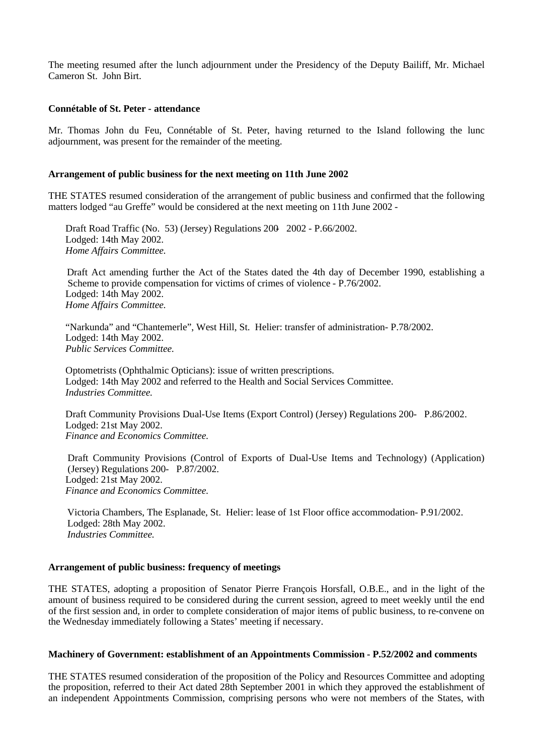The meeting resumed after the lunch adjournment under the Presidency of the Deputy Bailiff, Mr. Michael Cameron St. John Birt.

#### **Connétable of St. Peter - attendance**

Mr. Thomas John du Feu, Connétable of St. Peter, having returned to the Island following the lunch adjournment, was present for the remainder of the meeting.

### **Arrangement of public business for the next meeting on 11th June 2002**

THE STATES resumed consideration of the arrangement of public business and confirmed that the following matters lodged "au Greffe" would be considered at the next meeting on 11th June 2002 -

 Draft Road Traffic (No. 53) (Jersey) Regulations 200- 2002 - P.66/2002. Lodged: 14th May 2002. *Home Affairs Committee.*

 Draft Act amending further the Act of the States dated the 4th day of December 1990, establishing a Scheme to provide compensation for victims of crimes of violence - P.76/2002. Lodged: 14th May 2002. *Home Affairs Committee.*

"Narkunda" and "Chantemerle", West Hill, St. Helier: transfer of administration- P.78/2002. Lodged: 14th May 2002. *Public Services Committee.*

Optometrists (Ophthalmic Opticians): issue of written prescriptions. Lodged: 14th May 2002 and referred to the Health and Social Services Committee. *Industries Committee.*

 Draft Community Provisions Dual-Use Items (Export Control) (Jersey) Regulations 200- P.86/2002. Lodged: 21st May 2002. *Finance and Economics Committee.*

 Draft Community Provisions (Control of Exports of Dual-Use Items and Technology) (Application) (Jersey) Regulations 200- P.87/2002. Lodged: 21st May 2002. *Finance and Economics Committee.*

Victoria Chambers, The Esplanade, St. Helier: lease of 1st Floor office accommodation- P.91/2002. Lodged: 28th May 2002. *Industries Committee.*

#### **Arrangement of public business: frequency of meetings**

THE STATES, adopting a proposition of Senator Pierre François Horsfall, O.B.E., and in the light of the amount of business required to be considered during the current session, agreed to meet weekly until the end of the first session and, in order to complete consideration of major items of public business, to re-convene on the Wednesday immediately following a States' meeting if necessary.

#### **Machinery of Government: establishment of an Appointments Commission - P.52/2002 and comments**

THE STATES resumed consideration of the proposition of the Policy and Resources Committee and adopting the proposition, referred to their Act dated 28th September 2001 in which they approved the establishment of an independent Appointments Commission, comprising persons who were not members of the States, with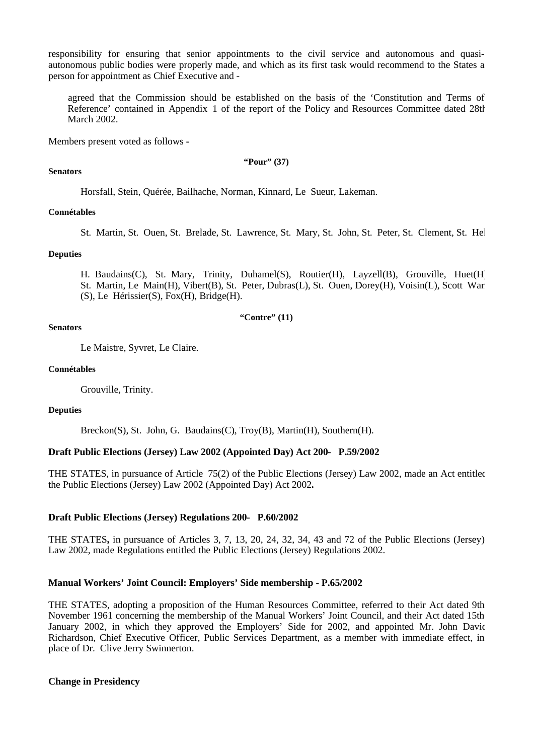responsibility for ensuring that senior appointments to the civil service and autonomous and quasiautonomous public bodies were properly made, and which as its first task would recommend to the States a person for appointment as Chief Executive and -

 agreed that the Commission should be established on the basis of the 'Constitution and Terms of Reference' contained in Appendix 1 of the report of the Policy and Resources Committee dated 28th March 2002.

Members present voted as follows **-**

**"Pour" (37)**

#### **Senators**

Horsfall, Stein, Quérée, Bailhache, Norman, Kinnard, Le Sueur, Lakeman.

#### **Connétables**

St. Martin, St. Ouen, St. Brelade, St. Lawrence, St. Mary, St. John, St. Peter, St. Clement, St. Hel

### **Deputies**

H. Baudains(C), St. Mary, Trinity, Duhamel(S), Routier(H), Layzell(B), Grouville, Huet(H), St. Martin, Le Main(H), Vibert(B), St. Peter, Dubras(L), St. Ouen, Dorey(H), Voisin(L), Scott War (S), Le Hérissier(S), Fox(H), Bridge(H).

#### **"Contre" (11)**

### **Senators**

Le Maistre, Syvret, Le Claire.

#### **Connétables**

Grouville, Trinity.

#### **Deputies**

Breckon(S), St. John, G. Baudains(C), Troy(B), Martin(H), Southern(H).

## **Draft Public Elections (Jersey) Law 2002 (Appointed Day) Act 200- P.59/2002**

THE STATES, in pursuance of Article 75(2) of the Public Elections (Jersey) Law 2002, made an Act entitled the Public Elections (Jersey) Law 2002 (Appointed Day) Act 2002**.**

## **Draft Public Elections (Jersey) Regulations 200- P.60/2002**

THE STATES**,** in pursuance of Articles 3, 7, 13, 20, 24, 32, 34, 43 and 72 of the Public Elections (Jersey) Law 2002, made Regulations entitled the Public Elections (Jersey) Regulations 2002.

#### **Manual Workers' Joint Council: Employers' Side membership - P.65/2002**

THE STATES, adopting a proposition of the Human Resources Committee, referred to their Act dated 9th November 1961 concerning the membership of the Manual Workers' Joint Council, and their Act dated 15th January 2002, in which they approved the Employers' Side for 2002, and appointed Mr. John David Richardson, Chief Executive Officer, Public Services Department, as a member with immediate effect, in place of Dr. Clive Jerry Swinnerton.

## **Change in Presidency**